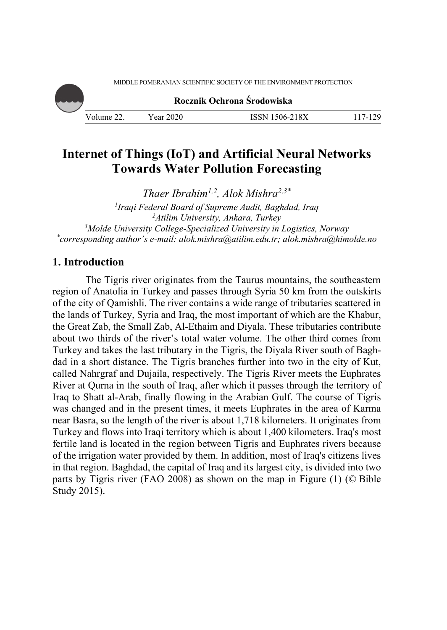MIDDLE POMERANIAN SCIENTIFIC SOCIETY OF THE ENVIRONMENT PROTECTION

**Rocznik Ochrona Środowiska**

Volume 22. Year 2020 ISSN 1506-218X 117-129

# **Internet of Things (IoT) and Artificial Neural Networks Towards Water Pollution Forecasting**

*Thaer Ibrahim1,2, Alok Mishra2,3\**

*1 Iraqi Federal Board of Supreme Audit, Baghdad, Iraq 2 Atilim University, Ankara, Turkey 3 Molde University College-Specialized University in Logistics, Norway \* corresponding author's e-mail: alok.mishra@atilim.edu.tr; alok.mishra@himolde.no* 

# **1. Introduction**

The Tigris river originates from the Taurus mountains, the southeastern region of Anatolia in Turkey and passes through Syria 50 km from the outskirts of the city of Qamishli. The river contains a wide range of tributaries scattered in the lands of Turkey, Syria and Iraq, the most important of which are the Khabur, the Great Zab, the Small Zab, Al-Ethaim and Diyala. These tributaries contribute about two thirds of the river's total water volume. The other third comes from Turkey and takes the last tributary in the Tigris, the Diyala River south of Baghdad in a short distance. The Tigris branches further into two in the city of Kut, called Nahrgraf and Dujaila, respectively. The Tigris River meets the Euphrates River at Qurna in the south of Iraq, after which it passes through the territory of Iraq to Shatt al-Arab, finally flowing in the Arabian Gulf. The course of Tigris was changed and in the present times, it meets Euphrates in the area of Karma near Basra, so the length of the river is about 1,718 kilometers. It originates from Turkey and flows into Iraqi territory which is about 1,400 kilometers. Iraq's most fertile land is located in the region between Tigris and Euphrates rivers because of the irrigation water provided by them. In addition, most of Iraq's citizens lives in that region. Baghdad, the capital of Iraq and its largest city, is divided into two parts by Tigris river (FAO 2008) as shown on the map in Figure (1) (© Bible Study 2015).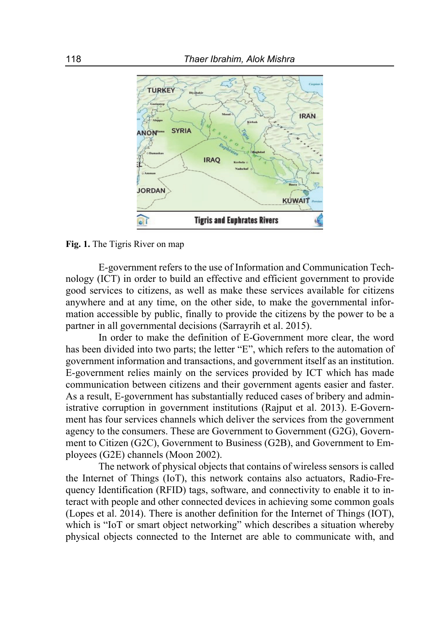

**Fig. 1.** The Tigris River on map

E-government refers to the use of Information and Communication Technology (ICT) in order to build an effective and efficient government to provide good services to citizens, as well as make these services available for citizens anywhere and at any time, on the other side, to make the governmental information accessible by public, finally to provide the citizens by the power to be a partner in all governmental decisions (Sarrayrih et al. 2015).

In order to make the definition of E-Government more clear, the word has been divided into two parts; the letter "E", which refers to the automation of government information and transactions, and government itself as an institution. E-government relies mainly on the services provided by ICT which has made communication between citizens and their government agents easier and faster. As a result, E-government has substantially reduced cases of bribery and administrative corruption in government institutions (Rajput et al. 2013). E-Government has four services channels which deliver the services from the government agency to the consumers. These are Government to Government (G2G), Government to Citizen (G2C), Government to Business (G2B), and Government to Employees (G2E) channels (Moon 2002).

The network of physical objects that contains of wireless sensors is called the Internet of Things (IoT), this network contains also actuators, Radio-Frequency Identification (RFID) tags, software, and connectivity to enable it to interact with people and other connected devices in achieving some common goals (Lopes et al. 2014). There is another definition for the Internet of Things (IOT), which is "IoT or smart object networking" which describes a situation whereby physical objects connected to the Internet are able to communicate with, and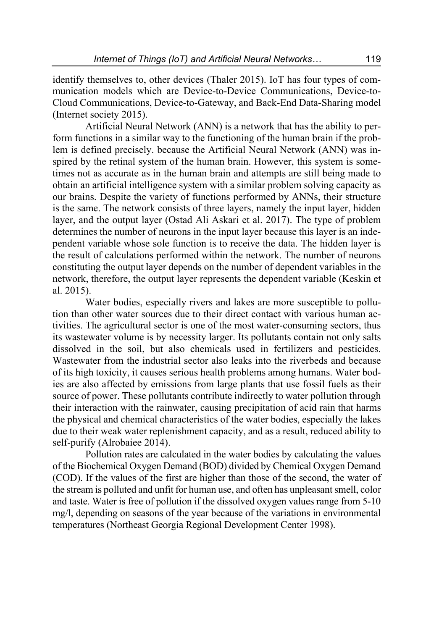identify themselves to, other devices (Thaler 2015). IoT has four types of communication models which are Device-to-Device Communications, Device-to-Cloud Communications, Device-to-Gateway, and Back-End Data-Sharing model (Internet society 2015).

Artificial Neural Network (ANN) is a network that has the ability to perform functions in a similar way to the functioning of the human brain if the problem is defined precisely. because the Artificial Neural Network (ANN) was inspired by the retinal system of the human brain. However, this system is sometimes not as accurate as in the human brain and attempts are still being made to obtain an artificial intelligence system with a similar problem solving capacity as our brains. Despite the variety of functions performed by ANNs, their structure is the same. The network consists of three layers, namely the input layer, hidden layer, and the output layer (Ostad Ali Askari et al. 2017). The type of problem determines the number of neurons in the input layer because this layer is an independent variable whose sole function is to receive the data. The hidden layer is the result of calculations performed within the network. The number of neurons constituting the output layer depends on the number of dependent variables in the network, therefore, the output layer represents the dependent variable (Keskin et al. 2015).

Water bodies, especially rivers and lakes are more susceptible to pollution than other water sources due to their direct contact with various human activities. The agricultural sector is one of the most water-consuming sectors, thus its wastewater volume is by necessity larger. Its pollutants contain not only salts dissolved in the soil, but also chemicals used in fertilizers and pesticides. Wastewater from the industrial sector also leaks into the riverbeds and because of its high toxicity, it causes serious health problems among humans. Water bodies are also affected by emissions from large plants that use fossil fuels as their source of power. These pollutants contribute indirectly to water pollution through their interaction with the rainwater, causing precipitation of acid rain that harms the physical and chemical characteristics of the water bodies, especially the lakes due to their weak water replenishment capacity, and as a result, reduced ability to self-purify (Alrobaiee 2014).

Pollution rates are calculated in the water bodies by calculating the values of the Biochemical Oxygen Demand (BOD) divided by Chemical Oxygen Demand (COD). If the values of the first are higher than those of the second, the water of the stream is polluted and unfit for human use, and often has unpleasant smell, color and taste. Water is free of pollution if the dissolved oxygen values range from 5-10 mg/l, depending on seasons of the year because of the variations in environmental temperatures (Northeast Georgia Regional Development Center 1998).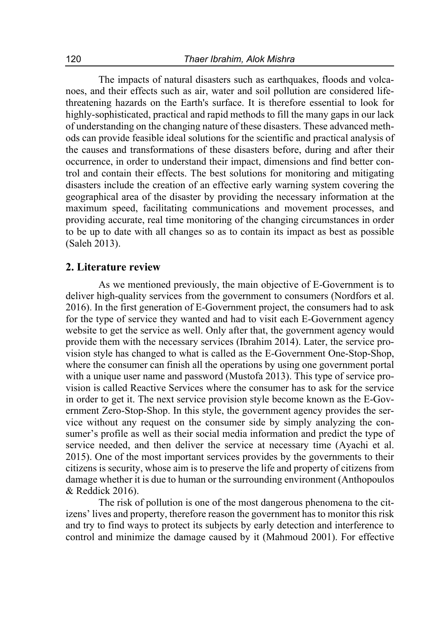The impacts of natural disasters such as earthquakes, floods and volcanoes, and their effects such as air, water and soil pollution are considered lifethreatening hazards on the Earth's surface. It is therefore essential to look for highly-sophisticated, practical and rapid methods to fill the many gaps in our lack of understanding on the changing nature of these disasters. These advanced methods can provide feasible ideal solutions for the scientific and practical analysis of the causes and transformations of these disasters before, during and after their occurrence, in order to understand their impact, dimensions and find better control and contain their effects. The best solutions for monitoring and mitigating disasters include the creation of an effective early warning system covering the geographical area of the disaster by providing the necessary information at the maximum speed, facilitating communications and movement processes, and providing accurate, real time monitoring of the changing circumstances in order to be up to date with all changes so as to contain its impact as best as possible (Saleh 2013).

#### **2. Literature review**

As we mentioned previously, the main objective of E-Government is to deliver high-quality services from the government to consumers (Nordfors et al. 2016). In the first generation of E-Government project, the consumers had to ask for the type of service they wanted and had to visit each E-Government agency website to get the service as well. Only after that, the government agency would provide them with the necessary services (Ibrahim 2014). Later, the service provision style has changed to what is called as the E-Government One-Stop-Shop, where the consumer can finish all the operations by using one government portal with a unique user name and password (Mustofa 2013). This type of service provision is called Reactive Services where the consumer has to ask for the service in order to get it. The next service provision style become known as the E-Government Zero-Stop-Shop. In this style, the government agency provides the service without any request on the consumer side by simply analyzing the consumer's profile as well as their social media information and predict the type of service needed, and then deliver the service at necessary time (Ayachi et al. 2015). One of the most important services provides by the governments to their citizens is security, whose aim is to preserve the life and property of citizens from damage whether it is due to human or the surrounding environment (Anthopoulos & Reddick 2016).

The risk of pollution is one of the most dangerous phenomena to the citizens' lives and property, therefore reason the government has to monitor this risk and try to find ways to protect its subjects by early detection and interference to control and minimize the damage caused by it (Mahmoud 2001). For effective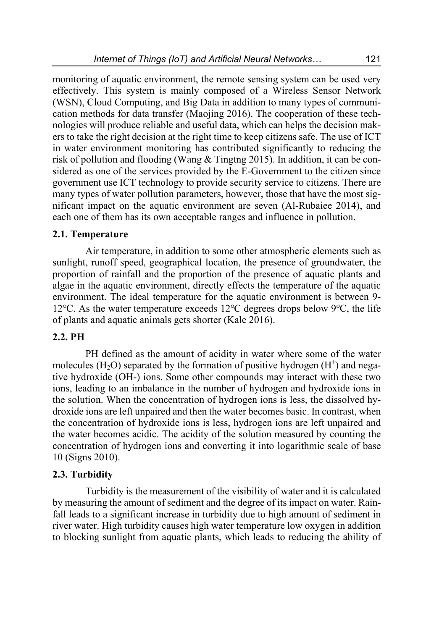monitoring of aquatic environment, the remote sensing system can be used very effectively. This system is mainly composed of a Wireless Sensor Network (WSN), Cloud Computing, and Big Data in addition to many types of communication methods for data transfer (Maojing 2016). The cooperation of these technologies will produce reliable and useful data, which can helps the decision makers to take the right decision at the right time to keep citizens safe. The use of ICT in water environment monitoring has contributed significantly to reducing the risk of pollution and flooding (Wang & Tingtng 2015). In addition, it can be considered as one of the services provided by the E-Government to the citizen since government use ICT technology to provide security service to citizens. There are many types of water pollution parameters, however, those that have the most significant impact on the aquatic environment are seven (Al-Rubaiee 2014), and each one of them has its own acceptable ranges and influence in pollution.

#### **2.1. Temperature**

Air temperature, in addition to some other atmospheric elements such as sunlight, runoff speed, geographical location, the presence of groundwater, the proportion of rainfall and the proportion of the presence of aquatic plants and algae in the aquatic environment, directly effects the temperature of the aquatic environment. The ideal temperature for the aquatic environment is between 9- 12℃. As the water temperature exceeds 12℃ degrees drops below 9℃, the life of plants and aquatic animals gets shorter (Kale 2016).

#### **2.2. PH**

PH defined as the amount of acidity in water where some of the water molecules (H<sub>2</sub>O) separated by the formation of positive hydrogen (H<sup>+</sup>) and negative hydroxide (OH-) ions. Some other compounds may interact with these two ions, leading to an imbalance in the number of hydrogen and hydroxide ions in the solution. When the concentration of hydrogen ions is less, the dissolved hydroxide ions are left unpaired and then the water becomes basic. In contrast, when the concentration of hydroxide ions is less, hydrogen ions are left unpaired and the water becomes acidic. The acidity of the solution measured by counting the concentration of hydrogen ions and converting it into logarithmic scale of base 10 (Signs 2010).

#### **2.3. Turbidity**

Turbidity is the measurement of the visibility of water and it is calculated by measuring the amount of sediment and the degree of its impact on water. Rainfall leads to a significant increase in turbidity due to high amount of sediment in river water. High turbidity causes high water temperature low oxygen in addition to blocking sunlight from aquatic plants, which leads to reducing the ability of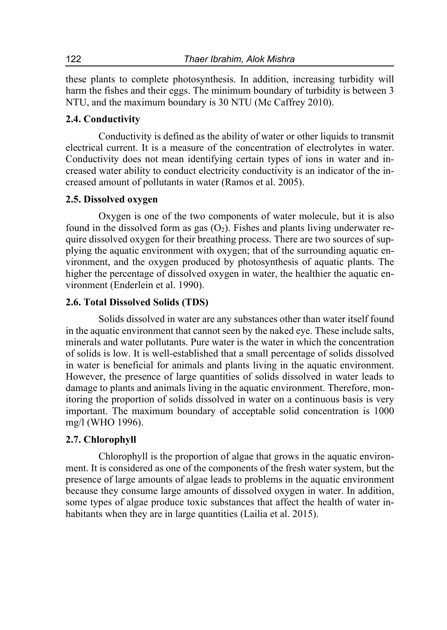these plants to complete photosynthesis. In addition, increasing turbidity will harm the fishes and their eggs. The minimum boundary of turbidity is between 3 NTU, and the maximum boundary is 30 NTU (Mc Caffrey 2010).

# **2.4. Conductivity**

Conductivity is defined as the ability of water or other liquids to transmit electrical current. It is a measure of the concentration of electrolytes in water. Conductivity does not mean identifying certain types of ions in water and increased water ability to conduct electricity conductivity is an indicator of the increased amount of pollutants in water (Ramos et al. 2005).

# **2.5. Dissolved oxygen**

Oxygen is one of the two components of water molecule, but it is also found in the dissolved form as gas  $(O_2)$ . Fishes and plants living underwater require dissolved oxygen for their breathing process. There are two sources of supplying the aquatic environment with oxygen; that of the surrounding aquatic environment, and the oxygen produced by photosynthesis of aquatic plants. The higher the percentage of dissolved oxygen in water, the healthier the aquatic environment (Enderlein et al. 1990).

# **2.6. Total Dissolved Solids (TDS)**

Solids dissolved in water are any substances other than water itself found in the aquatic environment that cannot seen by the naked eye. These include salts, minerals and water pollutants. Pure water is the water in which the concentration of solids is low. It is well-established that a small percentage of solids dissolved in water is beneficial for animals and plants living in the aquatic environment. However, the presence of large quantities of solids dissolved in water leads to damage to plants and animals living in the aquatic environment. Therefore, monitoring the proportion of solids dissolved in water on a continuous basis is very important. The maximum boundary of acceptable solid concentration is 1000 mg/l (WHO 1996).

# **2.7. Chlorophyll**

Chlorophyll is the proportion of algae that grows in the aquatic environment. It is considered as one of the components of the fresh water system, but the presence of large amounts of algae leads to problems in the aquatic environment because they consume large amounts of dissolved oxygen in water. In addition, some types of algae produce toxic substances that affect the health of water inhabitants when they are in large quantities (Lailia et al. 2015).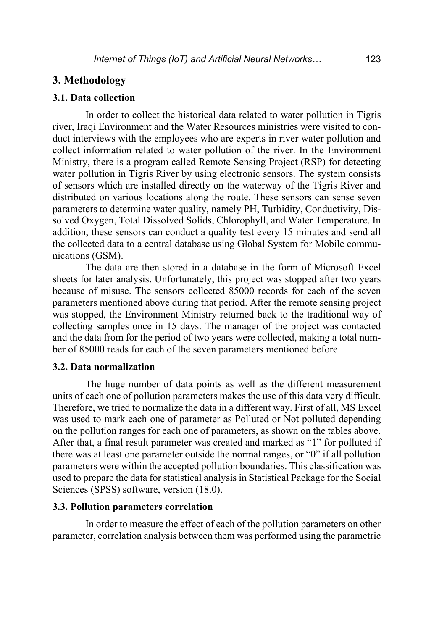# **3. Methodology**

# **3.1. Data collection**

In order to collect the historical data related to water pollution in Tigris river, Iraqi Environment and the Water Resources ministries were visited to conduct interviews with the employees who are experts in river water pollution and collect information related to water pollution of the river. In the Environment Ministry, there is a program called Remote Sensing Project (RSP) for detecting water pollution in Tigris River by using electronic sensors. The system consists of sensors which are installed directly on the waterway of the Tigris River and distributed on various locations along the route. These sensors can sense seven parameters to determine water quality, namely PH, Turbidity, Conductivity, Dissolved Oxygen, Total Dissolved Solids, Chlorophyll, and Water Temperature. In addition, these sensors can conduct a quality test every 15 minutes and send all the collected data to a central database using Global System for Mobile communications (GSM).

The data are then stored in a database in the form of Microsoft Excel sheets for later analysis. Unfortunately, this project was stopped after two years because of misuse. The sensors collected 85000 records for each of the seven parameters mentioned above during that period. After the remote sensing project was stopped, the Environment Ministry returned back to the traditional way of collecting samples once in 15 days. The manager of the project was contacted and the data from for the period of two years were collected, making a total number of 85000 reads for each of the seven parameters mentioned before.

# **3.2. Data normalization**

The huge number of data points as well as the different measurement units of each one of pollution parameters makes the use of this data very difficult. Therefore, we tried to normalize the data in a different way. First of all, MS Excel was used to mark each one of parameter as Polluted or Not polluted depending on the pollution ranges for each one of parameters, as shown on the tables above. After that, a final result parameter was created and marked as "1" for polluted if there was at least one parameter outside the normal ranges, or "0" if all pollution parameters were within the accepted pollution boundaries. This classification was used to prepare the data for statistical analysis in Statistical Package for the Social Sciences (SPSS) software, version (18.0).

#### **3.3. Pollution parameters correlation**

In order to measure the effect of each of the pollution parameters on other parameter, correlation analysis between them was performed using the parametric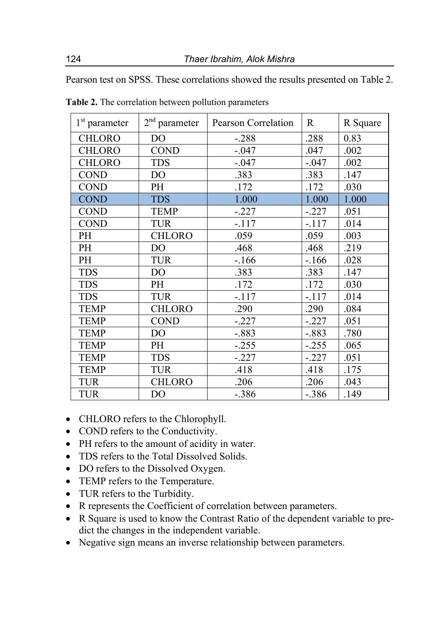Pearson test on SPSS. These correlations showed the results presented on Table 2.

| 1 <sup>st</sup> parameter | $2^{\rm nd}$ parameter | Pearson Correlation | R       | R Square |
|---------------------------|------------------------|---------------------|---------|----------|
| <b>CHLORO</b>             | DO                     | $-.288$             | .288    | 0.83     |
| <b>CHLORO</b>             | <b>COND</b>            | $-.047$             | .047    | .002     |
| <b>CHLORO</b>             | <b>TDS</b>             | $-.047$             | $-.047$ | .002     |
| <b>COND</b>               | D <sub>O</sub>         | .383                | .383    | .147     |
| <b>COND</b>               | PH                     | .172                | .172    | .030     |
| <b>COND</b>               | <b>TDS</b>             | 1.000               | 1.000   | 1.000    |
| <b>COND</b>               | <b>TEMP</b>            | $-.227$             | $-.227$ | .051     |
| <b>COND</b>               | <b>TUR</b>             | $-.117$             | $-.117$ | .014     |
| PH                        | <b>CHLORO</b>          | .059                | .059    | .003     |
| PH                        | DO                     | .468                | .468    | .219     |
| PH                        | <b>TUR</b>             | $-166$              | $-166$  | .028     |
| <b>TDS</b>                | D <sub>O</sub>         | .383                | .383    | .147     |
| <b>TDS</b>                | PH                     | .172                | .172    | .030     |
| <b>TDS</b>                | <b>TUR</b>             | $-.117$             | $-.117$ | .014     |
| <b>TEMP</b>               | <b>CHLORO</b>          | .290                | .290    | .084     |
| <b>TEMP</b>               | <b>COND</b>            | $-.227$             | $-.227$ | .051     |
| <b>TEMP</b>               | D <sub>O</sub>         | $-.883$             | $-.883$ | .780     |
| <b>TEMP</b>               | PH                     | $-.255$             | $-.255$ | .065     |
| <b>TEMP</b>               | <b>TDS</b>             | $-.227$             | $-.227$ | .051     |
| <b>TEMP</b>               | <b>TUR</b>             | .418                | .418    | .175     |
| <b>TUR</b>                | <b>CHLORO</b>          | .206                | .206    | .043     |
| <b>TUR</b>                | DO                     | $-.386$             | $-.386$ | .149     |

**Table 2.** The correlation between pollution parameters

- CHLORO refers to the Chlorophyll.
- COND refers to the Conductivity.
- PH refers to the amount of acidity in water.
- TDS refers to the Total Dissolved Solids.
- DO refers to the Dissolved Oxygen.
- TEMP refers to the Temperature.
- TUR refers to the Turbidity.
- R represents the Coefficient of correlation between parameters.
- R Square is used to know the Contrast Ratio of the dependent variable to predict the changes in the independent variable.
- Negative sign means an inverse relationship between parameters.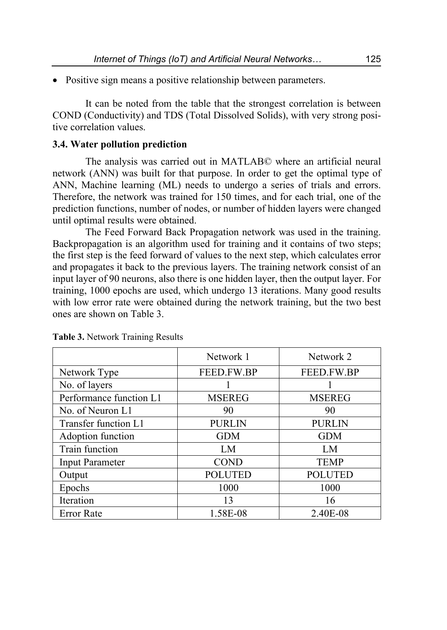• Positive sign means a positive relationship between parameters.

It can be noted from the table that the strongest correlation is between COND (Conductivity) and TDS (Total Dissolved Solids), with very strong positive correlation values.

# **3.4. Water pollution prediction**

The analysis was carried out in MATLAB© where an artificial neural network (ANN) was built for that purpose. In order to get the optimal type of ANN, Machine learning (ML) needs to undergo a series of trials and errors. Therefore, the network was trained for 150 times, and for each trial, one of the prediction functions, number of nodes, or number of hidden layers were changed until optimal results were obtained.

The Feed Forward Back Propagation network was used in the training. Backpropagation is an algorithm used for training and it contains of two steps; the first step is the feed forward of values to the next step, which calculates error and propagates it back to the previous layers. The training network consist of an input layer of 90 neurons, also there is one hidden layer, then the output layer. For training, 1000 epochs are used, which undergo 13 iterations. Many good results with low error rate were obtained during the network training, but the two best ones are shown on Table 3.

|                         | Network 1      | Network 2      |  |
|-------------------------|----------------|----------------|--|
| Network Type            | FEED.FW.BP     | FEED.FW.BP     |  |
| No. of layers           |                |                |  |
| Performance function L1 | <b>MSEREG</b>  | <b>MSEREG</b>  |  |
| No. of Neuron L1        | 90             | 90             |  |
| Transfer function L1    | <b>PURLIN</b>  | <b>PURLIN</b>  |  |
| Adoption function       | <b>GDM</b>     | <b>GDM</b>     |  |
| Train function          | LM             | LM             |  |
| <b>Input Parameter</b>  | <b>COND</b>    | <b>TEMP</b>    |  |
| Output                  | <b>POLUTED</b> | <b>POLUTED</b> |  |
| Epochs                  | 1000           | 1000           |  |
| Iteration               | 13             | 16             |  |
| <b>Error Rate</b>       | 1.58E-08       | 2.40E-08       |  |

**Table 3.** Network Training Results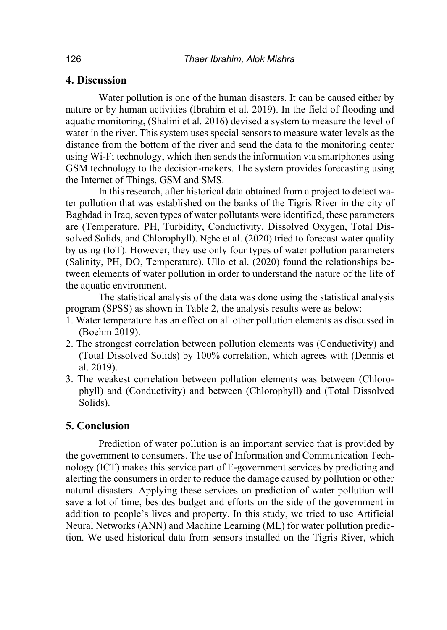# **4. Discussion**

Water pollution is one of the human disasters. It can be caused either by nature or by human activities (Ibrahim et al. 2019). In the field of flooding and aquatic monitoring, (Shalini et al. 2016) devised a system to measure the level of water in the river. This system uses special sensors to measure water levels as the distance from the bottom of the river and send the data to the monitoring center using Wi-Fi technology, which then sends the information via smartphones using GSM technology to the decision-makers. The system provides forecasting using the Internet of Things, GSM and SMS.

In this research, after historical data obtained from a project to detect water pollution that was established on the banks of the Tigris River in the city of Baghdad in Iraq, seven types of water pollutants were identified, these parameters are (Temperature, PH, Turbidity, Conductivity, Dissolved Oxygen, Total Dissolved Solids, and Chlorophyll). Nghe et al. (2020) tried to forecast water quality by using (IoT). However, they use only four types of water pollution parameters (Salinity, PH, DO, Temperature). Ullo et al. (2020) found the relationships between elements of water pollution in order to understand the nature of the life of the aquatic environment.

The statistical analysis of the data was done using the statistical analysis program (SPSS) as shown in Table 2, the analysis results were as below:

- 1. Water temperature has an effect on all other pollution elements as discussed in (Boehm 2019).
- 2. The strongest correlation between pollution elements was (Conductivity) and (Total Dissolved Solids) by 100% correlation, which agrees with (Dennis et al. 2019).
- 3. The weakest correlation between pollution elements was between (Chlorophyll) and (Conductivity) and between (Chlorophyll) and (Total Dissolved Solids).

# **5. Conclusion**

Prediction of water pollution is an important service that is provided by the government to consumers. The use of Information and Communication Technology (ICT) makes this service part of E-government services by predicting and alerting the consumers in order to reduce the damage caused by pollution or other natural disasters. Applying these services on prediction of water pollution will save a lot of time, besides budget and efforts on the side of the government in addition to people's lives and property. In this study, we tried to use Artificial Neural Networks (ANN) and Machine Learning (ML) for water pollution prediction. We used historical data from sensors installed on the Tigris River, which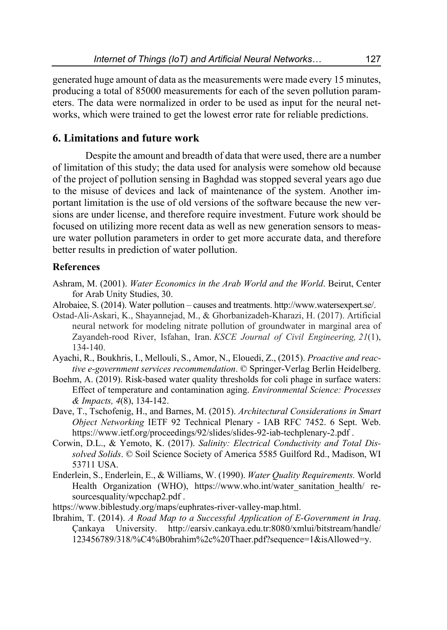generated huge amount of data as the measurements were made every 15 minutes, producing a total of 85000 measurements for each of the seven pollution parameters. The data were normalized in order to be used as input for the neural networks, which were trained to get the lowest error rate for reliable predictions.

# **6. Limitations and future work**

Despite the amount and breadth of data that were used, there are a number of limitation of this study; the data used for analysis were somehow old because of the project of pollution sensing in Baghdad was stopped several years ago due to the misuse of devices and lack of maintenance of the system. Another important limitation is the use of old versions of the software because the new versions are under license, and therefore require investment. Future work should be focused on utilizing more recent data as well as new generation sensors to measure water pollution parameters in order to get more accurate data, and therefore better results in prediction of water pollution.

# **References**

- Ashram, M. (2001). *Water Economics in the Arab World and the World*. Beirut, Center for Arab Unity Studies, 30.
- Alrobaiee, S. (2014). Water pollution causes and treatments. http://www.watersexpert.se/.
- Ostad-Ali-Askari, K., Shayannejad, M., & Ghorbanizadeh-Kharazi, H. (2017). Artificial neural network for modeling nitrate pollution of groundwater in marginal area of Zayandeh-rood River, Isfahan, Iran. *KSCE Journal of Civil Engineering, 21*(1), 134-140.
- Ayachi, R., Boukhris, I., Mellouli, S., Amor, N., Elouedi, Z., (2015). *Proactive and reactive e-government services recommendation*. © Springer-Verlag Berlin Heidelberg.
- Boehm, A. (2019). Risk-based water quality thresholds for coli phage in surface waters: Effect of temperature and contamination aging. *Environmental Science: Processes & Impacts, 4*(8), 134-142.
- Dave, T., Tschofenig, H., and Barnes, M. (2015). *Architectural Considerations in Smart Object Networking* IETF 92 Technical Plenary - IAB RFC 7452. 6 Sept. Web. https://www.ietf.org/proceedings/92/slides/slides-92-iab-techplenary-2.pdf .
- Corwin, D.L., & Yemoto, K. (2017). *Salinity: Electrical Conductivity and Total Dissolved Solids*. © Soil Science Society of America 5585 Guilford Rd., Madison, WI 53711 USA.
- Enderlein, S., Enderlein, E., & Williams, W. (1990). *Water Quality Requirements.* World Health Organization (WHO), https://www.who.int/water\_sanitation\_health/\_resourcesquality/wpcchap2.pdf .
- https://www.biblestudy.org/maps/euphrates-river-valley-map.html.
- Ibrahim, T. (2014). *A Road Map to a Successful Application of E-Government in Iraq*. Çankaya University. http://earsiv.cankaya.edu.tr:8080/xmlui/bitstream/handle/ 123456789/318/%C4%B0brahim%2c%20Thaer.pdf?sequence=1&isAllowed=y.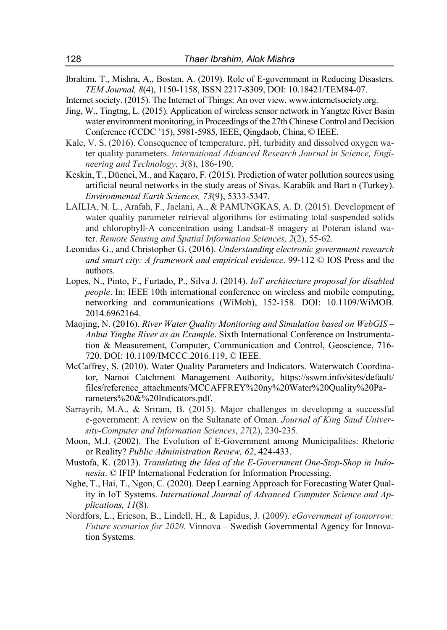- Ibrahim, T., Mishra, A., Bostan, A. (2019). Role of E-government in Reducing Disasters. *TEM Journal, 8*(4), 1150-1158, ISSN 2217-8309, DOI: 10.18421/TEM84-07.
- Internet society. (2015). The Internet of Things: An over view. www.internetsociety.org.
- Jing, W., Tingtng, L. (2015). Application of wireless sensor network in Yangtze River Basin water environment monitoring, in Proceedings of the 27th Chinese Control and Decision Conference (CCDC '15), 5981-5985, IEEE, Qingdaob, China, © IEEE.
- Kale, V. S. (2016). Consequence of temperature, pH, turbidity and dissolved oxygen water quality parameters. *International Advanced Research Journal in Science, Engineering and Technology*, *3*(8), 186-190.
- Keskin, T., Düenci, M., and Kaçaro, F. (2015). Prediction of water pollution sources using artificial neural networks in the study areas of Sivas. Karabük and Bart n (Turkey). *Environmental Earth Sciences, 73*(9), 5333-5347.
- LAILIA, N. L., Arafah, F., Jaelani, A., & PAMUNGKAS, A. D. (2015). Development of water quality parameter retrieval algorithms for estimating total suspended solids and chlorophyll-A concentration using Landsat-8 imagery at Poteran island water. *Remote Sensing and Spatial Information Sciences, 2*(2), 55-62.
- Leonidas G., and Christopher G. (2016). *Understanding electronic government research and smart city: A framework and empirical evidence*. 99-112 © IOS Press and the authors.
- Lopes, N., Pinto, F., Furtado, P., Silva J. (2014). *IoT architecture proposal for disabled people*. In: IEEE 10th international conference on wireless and mobile computing, networking and communications (WiMob), 152-158. DOI: 10.1109/WiMOB. 2014.6962164.
- Maojing, N. (2016). *River Water Quality Monitoring and Simulation based on WebGIS Anhui Yinghe River as an Example*. Sixth International Conference on Instrumentation & Measurement, Computer, Communication and Control, Geoscience, 716- 720. DOI: 10.1109/IMCCC.2016.119, © IEEE.
- McCaffrey, S. (2010). Water Quality Parameters and Indicators. Waterwatch Coordinator, Namoi Catchment Management Authority, https://sswm.info/sites/default/ files/reference\_attachments/MCCAFFREY%20ny%20Water%20Quality%20Parameters%20&%20Indicators.pdf.
- Sarrayrih, M.A., & Sriram, B. (2015). Major challenges in developing a successful e-government: A review on the Sultanate of Oman. *Journal of King Saud University-Computer and Information Sciences*, *27*(2), 230-235.
- Moon, M.J. (2002). The Evolution of E-Government among Municipalities: Rhetoric or Reality? *Public Administration Review, 62*, 424-433.
- Mustofa, K. (2013). *Translating the Idea of the E-Government One-Stop-Shop in Indonesia*. © IFIP International Federation for Information Processing.
- Nghe, T., Hai, T., Ngon, C. (2020). Deep Learning Approach for Forecasting Water Quality in IoT Systems. *International Journal of Advanced Computer Science and Applications, 11*(8).
- Nordfors, L., Ericson, B., Lindell, H., & Lapidus, J. (2009). *eGovernment of tomorrow: Future scenarios for 2020*. Vinnova – Swedish Governmental Agency for Innovation Systems.